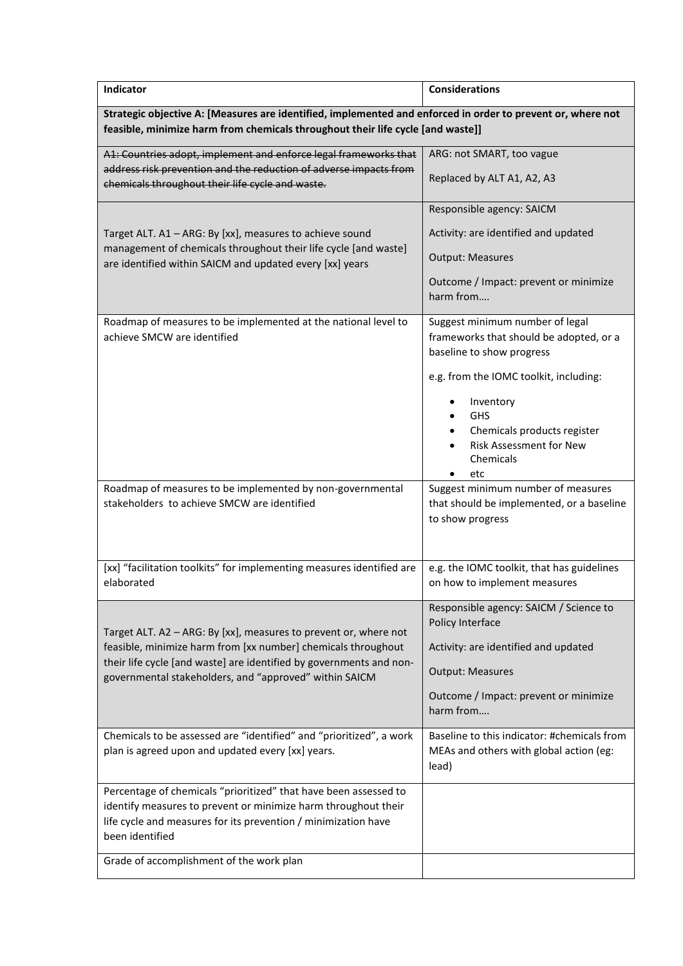| Indicator                                                                                                                                           | <b>Considerations</b>                                                                               |  |
|-----------------------------------------------------------------------------------------------------------------------------------------------------|-----------------------------------------------------------------------------------------------------|--|
| Strategic objective A: [Measures are identified, implemented and enforced in order to prevent or, where not                                         |                                                                                                     |  |
| feasible, minimize harm from chemicals throughout their life cycle [and waste]]                                                                     |                                                                                                     |  |
| A1: Countries adopt, implement and enforce legal frameworks that                                                                                    | ARG: not SMART, too vague                                                                           |  |
| address risk prevention and the reduction of adverse impacts from<br>chemicals throughout their life cycle and waste.                               | Replaced by ALT A1, A2, A3                                                                          |  |
|                                                                                                                                                     | Responsible agency: SAICM                                                                           |  |
| Target ALT. A1 - ARG: By [xx], measures to achieve sound                                                                                            | Activity: are identified and updated                                                                |  |
| management of chemicals throughout their life cycle [and waste]<br>are identified within SAICM and updated every [xx] years                         | <b>Output: Measures</b>                                                                             |  |
|                                                                                                                                                     | Outcome / Impact: prevent or minimize<br>harm from                                                  |  |
| Roadmap of measures to be implemented at the national level to                                                                                      | Suggest minimum number of legal                                                                     |  |
| achieve SMCW are identified                                                                                                                         | frameworks that should be adopted, or a<br>baseline to show progress                                |  |
|                                                                                                                                                     | e.g. from the IOMC toolkit, including:                                                              |  |
|                                                                                                                                                     | Inventory                                                                                           |  |
|                                                                                                                                                     | GHS                                                                                                 |  |
|                                                                                                                                                     | Chemicals products register<br><b>Risk Assessment for New</b>                                       |  |
|                                                                                                                                                     | Chemicals                                                                                           |  |
|                                                                                                                                                     | etc                                                                                                 |  |
| Roadmap of measures to be implemented by non-governmental<br>stakeholders to achieve SMCW are identified                                            | Suggest minimum number of measures<br>that should be implemented, or a baseline<br>to show progress |  |
|                                                                                                                                                     |                                                                                                     |  |
| [xx] "facilitation toolkits" for implementing measures identified are<br>elaborated                                                                 | e.g. the IOMC toolkit, that has guidelines<br>on how to implement measures                          |  |
|                                                                                                                                                     | Responsible agency: SAICM / Science to                                                              |  |
| Target ALT. A2 - ARG: By [xx], measures to prevent or, where not                                                                                    | Policy Interface                                                                                    |  |
| feasible, minimize harm from [xx number] chemicals throughout<br>their life cycle [and waste] are identified by governments and non-                | Activity: are identified and updated                                                                |  |
| governmental stakeholders, and "approved" within SAICM                                                                                              | <b>Output: Measures</b>                                                                             |  |
|                                                                                                                                                     | Outcome / Impact: prevent or minimize<br>harm from                                                  |  |
| Chemicals to be assessed are "identified" and "prioritized", a work<br>plan is agreed upon and updated every [xx] years.                            | Baseline to this indicator: #chemicals from<br>MEAs and others with global action (eg:<br>lead)     |  |
| Percentage of chemicals "prioritized" that have been assessed to                                                                                    |                                                                                                     |  |
| identify measures to prevent or minimize harm throughout their<br>life cycle and measures for its prevention / minimization have<br>been identified |                                                                                                     |  |
| Grade of accomplishment of the work plan                                                                                                            |                                                                                                     |  |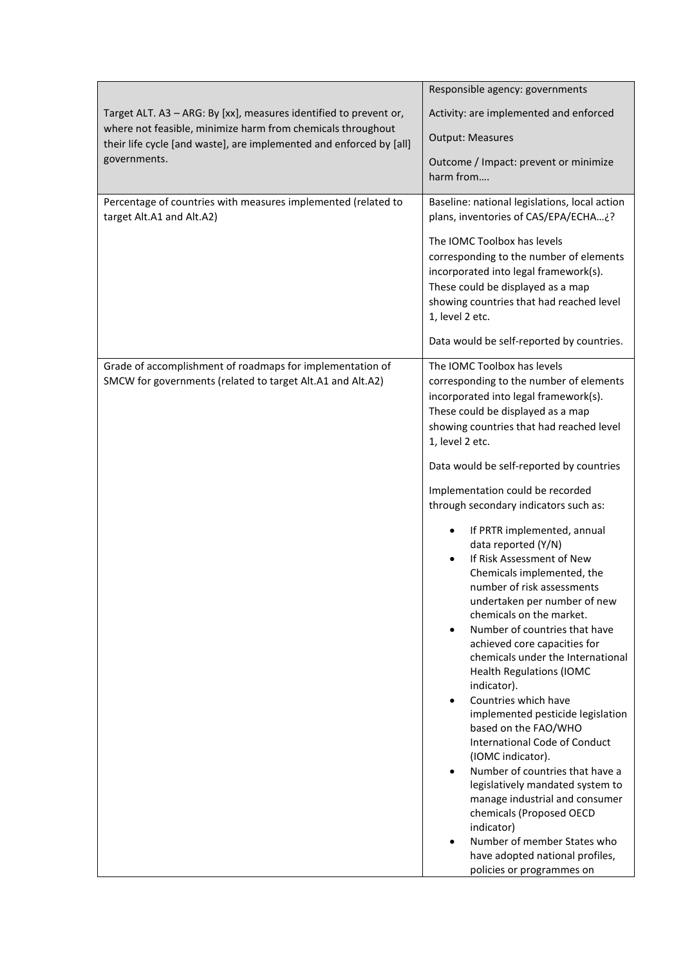|                                                                                                                                                                                                                         | Responsible agency: governments                                                                                                                                                                                                                                                                                                                                                                                                                                                                                                                                                                                                                                                                                                                                                                                  |
|-------------------------------------------------------------------------------------------------------------------------------------------------------------------------------------------------------------------------|------------------------------------------------------------------------------------------------------------------------------------------------------------------------------------------------------------------------------------------------------------------------------------------------------------------------------------------------------------------------------------------------------------------------------------------------------------------------------------------------------------------------------------------------------------------------------------------------------------------------------------------------------------------------------------------------------------------------------------------------------------------------------------------------------------------|
| Target ALT. A3 - ARG: By [xx], measures identified to prevent or,<br>where not feasible, minimize harm from chemicals throughout<br>their life cycle [and waste], are implemented and enforced by [all]<br>governments. | Activity: are implemented and enforced<br><b>Output: Measures</b><br>Outcome / Impact: prevent or minimize                                                                                                                                                                                                                                                                                                                                                                                                                                                                                                                                                                                                                                                                                                       |
|                                                                                                                                                                                                                         | harm from                                                                                                                                                                                                                                                                                                                                                                                                                                                                                                                                                                                                                                                                                                                                                                                                        |
| Percentage of countries with measures implemented (related to<br>target Alt.A1 and Alt.A2)                                                                                                                              | Baseline: national legislations, local action<br>plans, inventories of CAS/EPA/ECHA¿?                                                                                                                                                                                                                                                                                                                                                                                                                                                                                                                                                                                                                                                                                                                            |
|                                                                                                                                                                                                                         | The IOMC Toolbox has levels<br>corresponding to the number of elements<br>incorporated into legal framework(s).<br>These could be displayed as a map<br>showing countries that had reached level<br>1, level 2 etc.                                                                                                                                                                                                                                                                                                                                                                                                                                                                                                                                                                                              |
|                                                                                                                                                                                                                         | Data would be self-reported by countries.                                                                                                                                                                                                                                                                                                                                                                                                                                                                                                                                                                                                                                                                                                                                                                        |
| Grade of accomplishment of roadmaps for implementation of<br>SMCW for governments (related to target Alt.A1 and Alt.A2)                                                                                                 | The IOMC Toolbox has levels<br>corresponding to the number of elements<br>incorporated into legal framework(s).<br>These could be displayed as a map<br>showing countries that had reached level<br>1, level 2 etc.                                                                                                                                                                                                                                                                                                                                                                                                                                                                                                                                                                                              |
|                                                                                                                                                                                                                         | Data would be self-reported by countries                                                                                                                                                                                                                                                                                                                                                                                                                                                                                                                                                                                                                                                                                                                                                                         |
|                                                                                                                                                                                                                         | Implementation could be recorded<br>through secondary indicators such as:                                                                                                                                                                                                                                                                                                                                                                                                                                                                                                                                                                                                                                                                                                                                        |
|                                                                                                                                                                                                                         | If PRTR implemented, annual<br>data reported (Y/N)<br>If Risk Assessment of New<br>$\bullet$<br>Chemicals implemented, the<br>number of risk assessments<br>undertaken per number of new<br>chemicals on the market.<br>Number of countries that have<br>$\bullet$<br>achieved core capacities for<br>chemicals under the International<br><b>Health Regulations (IOMC</b><br>indicator).<br>Countries which have<br>$\bullet$<br>implemented pesticide legislation<br>based on the FAO/WHO<br>International Code of Conduct<br>(IOMC indicator).<br>Number of countries that have a<br>legislatively mandated system to<br>manage industrial and consumer<br>chemicals (Proposed OECD<br>indicator)<br>Number of member States who<br>$\bullet$<br>have adopted national profiles,<br>policies or programmes on |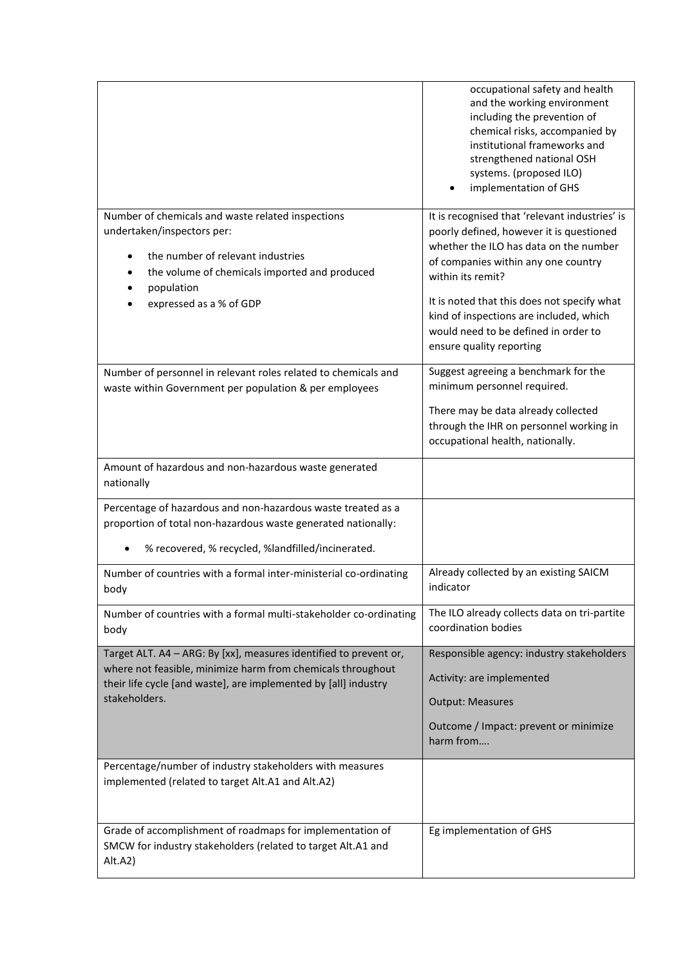|                                                                                                                                                                                                                      | occupational safety and health<br>and the working environment<br>including the prevention of<br>chemical risks, accompanied by<br>institutional frameworks and<br>strengthened national OSH<br>systems. (proposed ILO)<br>implementation of GHS                                                                                                                |
|----------------------------------------------------------------------------------------------------------------------------------------------------------------------------------------------------------------------|----------------------------------------------------------------------------------------------------------------------------------------------------------------------------------------------------------------------------------------------------------------------------------------------------------------------------------------------------------------|
| Number of chemicals and waste related inspections<br>undertaken/inspectors per:<br>the number of relevant industries<br>the volume of chemicals imported and produced<br>population<br>expressed as a % of GDP       | It is recognised that 'relevant industries' is<br>poorly defined, however it is questioned<br>whether the ILO has data on the number<br>of companies within any one country<br>within its remit?<br>It is noted that this does not specify what<br>kind of inspections are included, which<br>would need to be defined in order to<br>ensure quality reporting |
| Number of personnel in relevant roles related to chemicals and<br>waste within Government per population & per employees                                                                                             | Suggest agreeing a benchmark for the<br>minimum personnel required.<br>There may be data already collected<br>through the IHR on personnel working in<br>occupational health, nationally.                                                                                                                                                                      |
| Amount of hazardous and non-hazardous waste generated<br>nationally                                                                                                                                                  |                                                                                                                                                                                                                                                                                                                                                                |
| Percentage of hazardous and non-hazardous waste treated as a<br>proportion of total non-hazardous waste generated nationally:<br>% recovered, % recycled, %landfilled/incinerated.                                   |                                                                                                                                                                                                                                                                                                                                                                |
| Number of countries with a formal inter-ministerial co-ordinating<br>body                                                                                                                                            | Already collected by an existing SAICM<br>indicator                                                                                                                                                                                                                                                                                                            |
| Number of countries with a formal multi-stakeholder co-ordinating<br>body                                                                                                                                            | The ILO already collects data on tri-partite<br>coordination bodies                                                                                                                                                                                                                                                                                            |
| Target ALT. A4 - ARG: By [xx], measures identified to prevent or,<br>where not feasible, minimize harm from chemicals throughout<br>their life cycle [and waste], are implemented by [all] industry<br>stakeholders. | Responsible agency: industry stakeholders<br>Activity: are implemented<br><b>Output: Measures</b><br>Outcome / Impact: prevent or minimize<br>harm from                                                                                                                                                                                                        |
| Percentage/number of industry stakeholders with measures<br>implemented (related to target Alt.A1 and Alt.A2)                                                                                                        |                                                                                                                                                                                                                                                                                                                                                                |
| Grade of accomplishment of roadmaps for implementation of<br>SMCW for industry stakeholders (related to target Alt.A1 and<br>Alt.A2)                                                                                 | Eg implementation of GHS                                                                                                                                                                                                                                                                                                                                       |